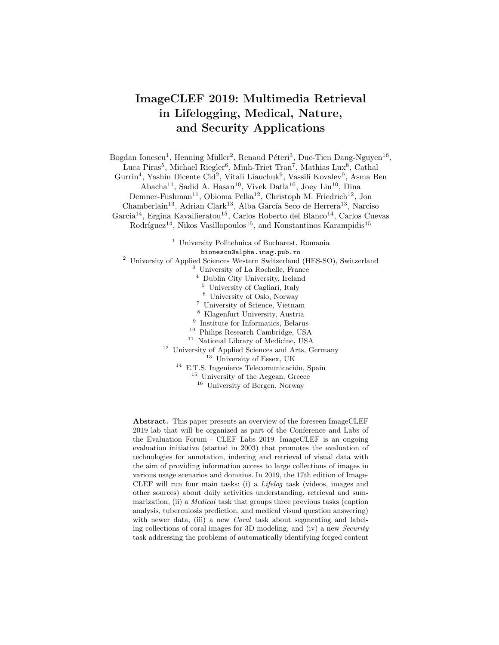# ImageCLEF 2019: Multimedia Retrieval in Lifelogging, Medical, Nature, and Security Applications

Bogdan Ionescu<sup>1</sup>, Henning Müller<sup>2</sup>, Renaud Péteri<sup>3</sup>, Duc-Tien Dang-Nguyen<sup>16</sup>, Luca Piras<sup>5</sup>, Michael Riegler<sup>6</sup>, Minh-Triet Tran<sup>7</sup>, Mathias Lux<sup>8</sup>, Cathal Gurrin<sup>4</sup>, Yashin Dicente Cid<sup>2</sup>, Vitali Liauchuk<sup>9</sup>, Vassili Kovalev<sup>9</sup>, Asma Ben Abacha<sup>11</sup>, Sadid A. Hasan<sup>10</sup>, Vivek Datla<sup>10</sup>, Joey Liu<sup>10</sup>, Dina Demner-Fushman<sup>11</sup>, Obioma Pelka<sup>12</sup>, Christoph M. Friedrich<sup>12</sup>, Jon Chamberlain<sup>13</sup>, Adrian Clark<sup>13</sup>, Alba García Seco de Herrera<sup>13</sup>, Narciso Garcia<sup>14</sup>, Ergina Kavallieratou<sup>15</sup>, Carlos Roberto del Blanco<sup>14</sup>, Carlos Cuevas  $Rodríguez<sup>14</sup>$ , Nikos Vasillopoulos<sup>15</sup>, and Konstantinos Karampidis<sup>15</sup>

<sup>1</sup> University Politehnica of Bucharest, Romania bionescu@alpha.imag.pub.ro

<sup>2</sup> University of Applied Sciences Western Switzerland (HES-SO), Switzerland

<sup>3</sup> University of La Rochelle, France

<sup>4</sup> Dublin City University, Ireland

<sup>5</sup> University of Cagliari, Italy

<sup>6</sup> University of Oslo, Norway

<sup>7</sup> University of Science, Vietnam

<sup>8</sup> Klagenfurt University, Austria

9 Institute for Informatics, Belarus

<sup>10</sup> Philips Research Cambridge, USA

<sup>11</sup> National Library of Medicine, USA

<sup>12</sup> University of Applied Sciences and Arts, Germany

<sup>13</sup> University of Essex, UK

<sup>14</sup> E.T.S. Ingenieros Telecomunicación, Spain

<sup>15</sup> University of the Aegean, Greece

<sup>16</sup> University of Bergen, Norway

Abstract. This paper presents an overview of the foreseen ImageCLEF 2019 lab that will be organized as part of the Conference and Labs of the Evaluation Forum - CLEF Labs 2019. ImageCLEF is an ongoing evaluation initiative (started in 2003) that promotes the evaluation of technologies for annotation, indexing and retrieval of visual data with the aim of providing information access to large collections of images in various usage scenarios and domains. In 2019, the 17th edition of Image-CLEF will run four main tasks: (i) a Lifelog task (videos, images and other sources) about daily activities understanding, retrieval and summarization, (ii) a Medical task that groups three previous tasks (caption analysis, tuberculosis prediction, and medical visual question answering) with newer data, (iii) a new *Coral* task about segmenting and labeling collections of coral images for 3D modeling, and (iv) a new Security task addressing the problems of automatically identifying forged content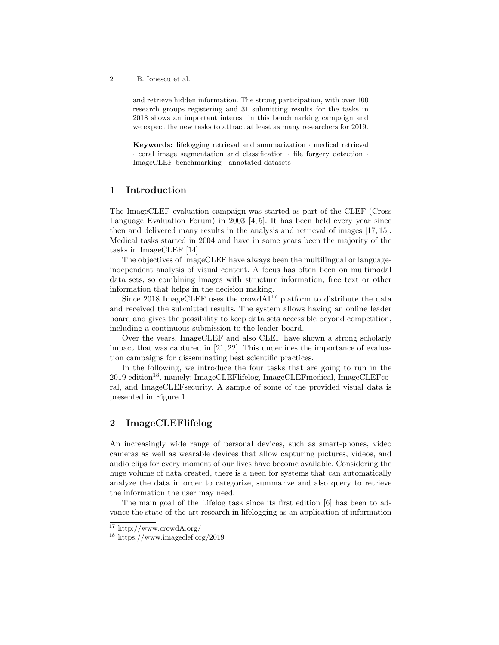2 B. Ionescu et al.

and retrieve hidden information. The strong participation, with over 100 research groups registering and 31 submitting results for the tasks in 2018 shows an important interest in this benchmarking campaign and we expect the new tasks to attract at least as many researchers for 2019.

Keywords: lifelogging retrieval and summarization · medical retrieval · coral image segmentation and classification · file forgery detection · ImageCLEF benchmarking · annotated datasets

# 1 Introduction

The ImageCLEF evaluation campaign was started as part of the CLEF (Cross Language Evaluation Forum) in 2003 [4, 5]. It has been held every year since then and delivered many results in the analysis and retrieval of images [17, 15]. Medical tasks started in 2004 and have in some years been the majority of the tasks in ImageCLEF [14].

The objectives of ImageCLEF have always been the multilingual or languageindependent analysis of visual content. A focus has often been on multimodal data sets, so combining images with structure information, free text or other information that helps in the decision making.

Since 2018 ImageCLEF uses the crowd $AI^{17}$  platform to distribute the data and received the submitted results. The system allows having an online leader board and gives the possibility to keep data sets accessible beyond competition, including a continuous submission to the leader board.

Over the years, ImageCLEF and also CLEF have shown a strong scholarly impact that was captured in [21, 22]. This underlines the importance of evaluation campaigns for disseminating best scientific practices.

In the following, we introduce the four tasks that are going to run in the 2019 edition<sup>18</sup>, namely: ImageCLEFlifelog, ImageCLEFmedical, ImageCLEFcoral, and ImageCLEFsecurity. A sample of some of the provided visual data is presented in Figure 1.

## 2 ImageCLEFlifelog

An increasingly wide range of personal devices, such as smart-phones, video cameras as well as wearable devices that allow capturing pictures, videos, and audio clips for every moment of our lives have become available. Considering the huge volume of data created, there is a need for systems that can automatically analyze the data in order to categorize, summarize and also query to retrieve the information the user may need.

The main goal of the Lifelog task since its first edition [6] has been to advance the state-of-the-art research in lifelogging as an application of information

 $17 \text{ http://www.crowdA.org/}$ 

<sup>18</sup> https://www.imageclef.org/2019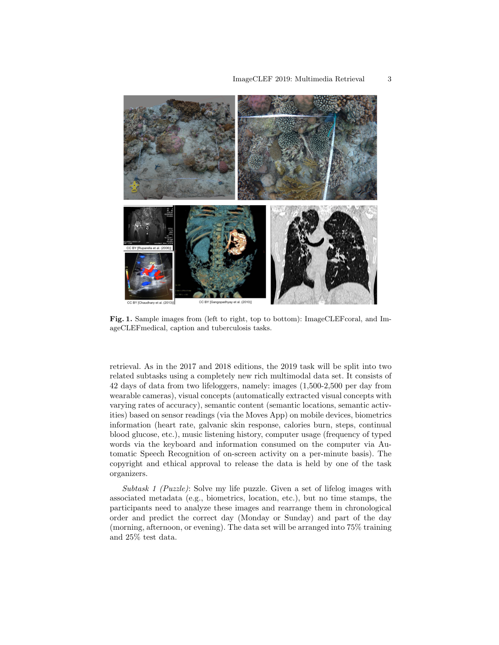

Fig. 1. Sample images from (left to right, top to bottom): ImageCLEFcoral, and ImageCLEFmedical, caption and tuberculosis tasks.

retrieval. As in the 2017 and 2018 editions, the 2019 task will be split into two related subtasks using a completely new rich multimodal data set. It consists of 42 days of data from two lifeloggers, namely: images (1,500-2,500 per day from wearable cameras), visual concepts (automatically extracted visual concepts with varying rates of accuracy), semantic content (semantic locations, semantic activities) based on sensor readings (via the Moves App) on mobile devices, biometrics information (heart rate, galvanic skin response, calories burn, steps, continual blood glucose, etc.), music listening history, computer usage (frequency of typed words via the keyboard and information consumed on the computer via Automatic Speech Recognition of on-screen activity on a per-minute basis). The copyright and ethical approval to release the data is held by one of the task organizers.

Subtask 1 (Puzzle): Solve my life puzzle. Given a set of lifelog images with associated metadata (e.g., biometrics, location, etc.), but no time stamps, the participants need to analyze these images and rearrange them in chronological order and predict the correct day (Monday or Sunday) and part of the day (morning, afternoon, or evening). The data set will be arranged into 75% training and 25% test data.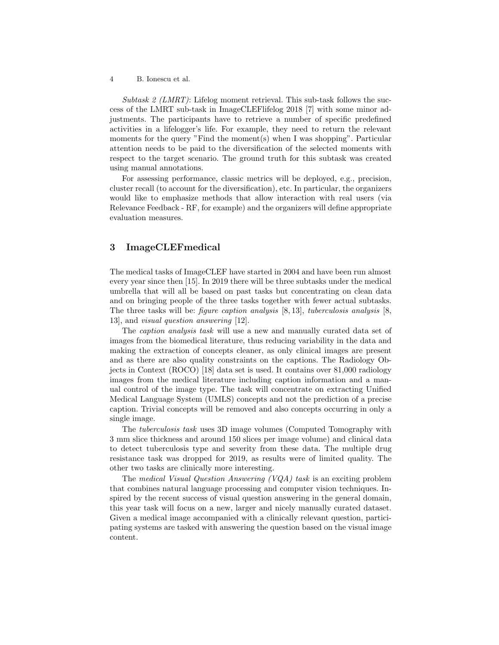#### 4 B. Ionescu et al.

Subtask 2 (LMRT): Lifelog moment retrieval. This sub-task follows the success of the LMRT sub-task in ImageCLEFlifelog 2018 [7] with some minor adjustments. The participants have to retrieve a number of specific predefined activities in a lifelogger's life. For example, they need to return the relevant moments for the query "Find the moment(s) when I was shopping". Particular attention needs to be paid to the diversification of the selected moments with respect to the target scenario. The ground truth for this subtask was created using manual annotations.

For assessing performance, classic metrics will be deployed, e.g., precision, cluster recall (to account for the diversification), etc. In particular, the organizers would like to emphasize methods that allow interaction with real users (via Relevance Feedback - RF, for example) and the organizers will define appropriate evaluation measures.

# 3 ImageCLEFmedical

The medical tasks of ImageCLEF have started in 2004 and have been run almost every year since then [15]. In 2019 there will be three subtasks under the medical umbrella that will all be based on past tasks but concentrating on clean data and on bringing people of the three tasks together with fewer actual subtasks. The three tasks will be: figure caption analysis [8, 13], tuberculosis analysis [8, 13], and visual question answering [12].

The *caption analysis task* will use a new and manually curated data set of images from the biomedical literature, thus reducing variability in the data and making the extraction of concepts cleaner, as only clinical images are present and as there are also quality constraints on the captions. The Radiology Objects in Context (ROCO) [18] data set is used. It contains over 81,000 radiology images from the medical literature including caption information and a manual control of the image type. The task will concentrate on extracting Unified Medical Language System (UMLS) concepts and not the prediction of a precise caption. Trivial concepts will be removed and also concepts occurring in only a single image.

The tuberculosis task uses 3D image volumes (Computed Tomography with 3 mm slice thickness and around 150 slices per image volume) and clinical data to detect tuberculosis type and severity from these data. The multiple drug resistance task was dropped for 2019, as results were of limited quality. The other two tasks are clinically more interesting.

The medical Visual Question Answering (VQA) task is an exciting problem that combines natural language processing and computer vision techniques. Inspired by the recent success of visual question answering in the general domain, this year task will focus on a new, larger and nicely manually curated dataset. Given a medical image accompanied with a clinically relevant question, participating systems are tasked with answering the question based on the visual image content.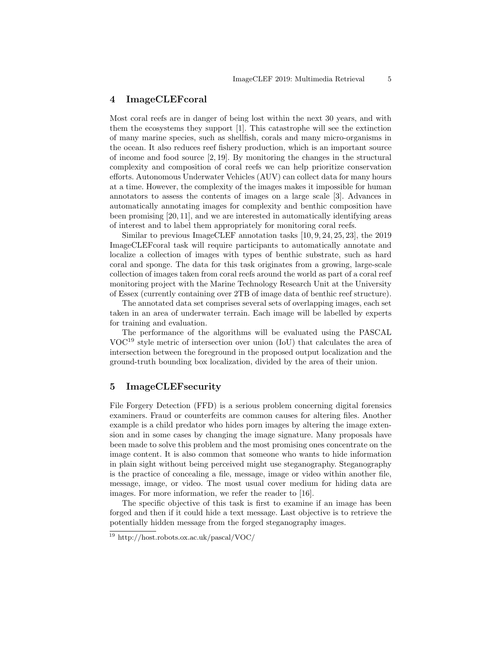## 4 ImageCLEFcoral

Most coral reefs are in danger of being lost within the next 30 years, and with them the ecosystems they support [1]. This catastrophe will see the extinction of many marine species, such as shellfish, corals and many micro-organisms in the ocean. It also reduces reef fishery production, which is an important source of income and food source [2, 19]. By monitoring the changes in the structural complexity and composition of coral reefs we can help prioritize conservation efforts. Autonomous Underwater Vehicles (AUV) can collect data for many hours at a time. However, the complexity of the images makes it impossible for human annotators to assess the contents of images on a large scale [3]. Advances in automatically annotating images for complexity and benthic composition have been promising [20, 11], and we are interested in automatically identifying areas of interest and to label them appropriately for monitoring coral reefs.

Similar to previous ImageCLEF annotation tasks [10, 9, 24, 25, 23], the 2019 ImageCLEFcoral task will require participants to automatically annotate and localize a collection of images with types of benthic substrate, such as hard coral and sponge. The data for this task originates from a growing, large-scale collection of images taken from coral reefs around the world as part of a coral reef monitoring project with the Marine Technology Research Unit at the University of Essex (currently containing over 2TB of image data of benthic reef structure).

The annotated data set comprises several sets of overlapping images, each set taken in an area of underwater terrain. Each image will be labelled by experts for training and evaluation.

The performance of the algorithms will be evaluated using the PASCAL VOC<sup>19</sup> style metric of intersection over union (IoU) that calculates the area of intersection between the foreground in the proposed output localization and the ground-truth bounding box localization, divided by the area of their union.

### 5 ImageCLEFsecurity

File Forgery Detection (FFD) is a serious problem concerning digital forensics examiners. Fraud or counterfeits are common causes for altering files. Another example is a child predator who hides porn images by altering the image extension and in some cases by changing the image signature. Many proposals have been made to solve this problem and the most promising ones concentrate on the image content. It is also common that someone who wants to hide information in plain sight without being perceived might use steganography. Steganography is the practice of concealing a file, message, image or video within another file, message, image, or video. The most usual cover medium for hiding data are images. For more information, we refer the reader to [16].

The specific objective of this task is first to examine if an image has been forged and then if it could hide a text message. Last objective is to retrieve the potentially hidden message from the forged steganography images.

 $\frac{19 \text{ http://host.robots.ox.ac.uk/pascal/VOC/}}{19 \text{ http://host.robots.ox.ac.uk/pascal/VOC/}}$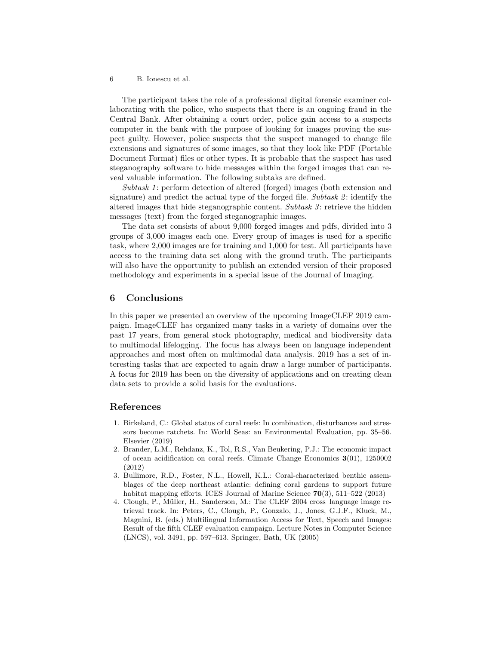#### 6 B. Ionescu et al.

The participant takes the role of a professional digital forensic examiner collaborating with the police, who suspects that there is an ongoing fraud in the Central Bank. After obtaining a court order, police gain access to a suspects computer in the bank with the purpose of looking for images proving the suspect guilty. However, police suspects that the suspect managed to change file extensions and signatures of some images, so that they look like PDF (Portable Document Format) files or other types. It is probable that the suspect has used steganography software to hide messages within the forged images that can reveal valuable information. The following subtaks are defined.

Subtask 1: perform detection of altered (forged) images (both extension and signature) and predict the actual type of the forged file. Subtask  $2$ : identify the altered images that hide steganographic content. Subtask  $3$ : retrieve the hidden messages (text) from the forged steganographic images.

The data set consists of about 9,000 forged images and pdfs, divided into 3 groups of 3,000 images each one. Every group of images is used for a specific task, where 2,000 images are for training and 1,000 for test. All participants have access to the training data set along with the ground truth. The participants will also have the opportunity to publish an extended version of their proposed methodology and experiments in a special issue of the Journal of Imaging.

### 6 Conclusions

In this paper we presented an overview of the upcoming ImageCLEF 2019 campaign. ImageCLEF has organized many tasks in a variety of domains over the past 17 years, from general stock photography, medical and biodiversity data to multimodal lifelogging. The focus has always been on language independent approaches and most often on multimodal data analysis. 2019 has a set of interesting tasks that are expected to again draw a large number of participants. A focus for 2019 has been on the diversity of applications and on creating clean data sets to provide a solid basis for the evaluations.

### References

- 1. Birkeland, C.: Global status of coral reefs: In combination, disturbances and stressors become ratchets. In: World Seas: an Environmental Evaluation, pp. 35–56. Elsevier (2019)
- 2. Brander, L.M., Rehdanz, K., Tol, R.S., Van Beukering, P.J.: The economic impact of ocean acidification on coral reefs. Climate Change Economics 3(01), 1250002 (2012)
- 3. Bullimore, R.D., Foster, N.L., Howell, K.L.: Coral-characterized benthic assemblages of the deep northeast atlantic: defining coral gardens to support future habitat mapping efforts. ICES Journal of Marine Science  $70(3)$ , 511–522 (2013)
- 4. Clough, P., Müller, H., Sanderson, M.: The CLEF 2004 cross-language image retrieval track. In: Peters, C., Clough, P., Gonzalo, J., Jones, G.J.F., Kluck, M., Magnini, B. (eds.) Multilingual Information Access for Text, Speech and Images: Result of the fifth CLEF evaluation campaign. Lecture Notes in Computer Science (LNCS), vol. 3491, pp. 597–613. Springer, Bath, UK (2005)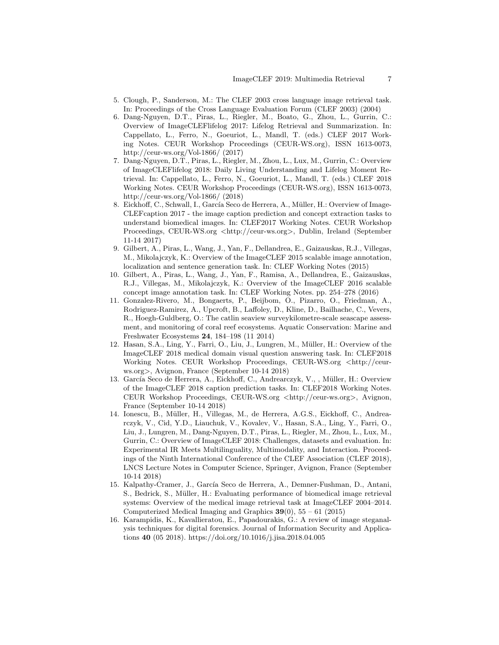- 5. Clough, P., Sanderson, M.: The CLEF 2003 cross language image retrieval task. In: Proceedings of the Cross Language Evaluation Forum (CLEF 2003) (2004)
- 6. Dang-Nguyen, D.T., Piras, L., Riegler, M., Boato, G., Zhou, L., Gurrin, C.: Overview of ImageCLEFlifelog 2017: Lifelog Retrieval and Summarization. In: Cappellato, L., Ferro, N., Goeuriot, L., Mandl, T. (eds.) CLEF 2017 Working Notes. CEUR Workshop Proceedings (CEUR-WS.org), ISSN 1613-0073, http://ceur-ws.org/Vol-1866/ (2017)
- 7. Dang-Nguyen, D.T., Piras, L., Riegler, M., Zhou, L., Lux, M., Gurrin, C.: Overview of ImageCLEFlifelog 2018: Daily Living Understanding and Lifelog Moment Retrieval. In: Cappellato, L., Ferro, N., Goeuriot, L., Mandl, T. (eds.) CLEF 2018 Working Notes. CEUR Workshop Proceedings (CEUR-WS.org), ISSN 1613-0073, http://ceur-ws.org/Vol-1866/ (2018)
- 8. Eickhoff, C., Schwall, I., García Seco de Herrera, A., Müller, H.: Overview of Image-CLEFcaption 2017 - the image caption prediction and concept extraction tasks to understand biomedical images. In: CLEF2017 Working Notes. CEUR Workshop Proceedings, CEUR-WS.org <http://ceur-ws.org>, Dublin, Ireland (September 11-14 2017)
- 9. Gilbert, A., Piras, L., Wang, J., Yan, F., Dellandrea, E., Gaizauskas, R.J., Villegas, M., Mikolajczyk, K.: Overview of the ImageCLEF 2015 scalable image annotation, localization and sentence generation task. In: CLEF Working Notes (2015)
- 10. Gilbert, A., Piras, L., Wang, J., Yan, F., Ramisa, A., Dellandrea, E., Gaizauskas, R.J., Villegas, M., Mikolajczyk, K.: Overview of the ImageCLEF 2016 scalable concept image annotation task. In: CLEF Working Notes. pp. 254–278 (2016)
- 11. Gonzalez-Rivero, M., Bongaerts, P., Beijbom, O., Pizarro, O., Friedman, A., Rodriguez-Ramirez, A., Upcroft, B., Laffoley, D., Kline, D., Bailhache, C., Vevers, R., Hoegh-Guldberg, O.: The catlin seaview surveykilometre-scale seascape assessment, and monitoring of coral reef ecosystems. Aquatic Conservation: Marine and Freshwater Ecosystems 24, 184–198 (11 2014)
- 12. Hasan, S.A., Ling, Y., Farri, O., Liu, J., Lungren, M., M¨uller, H.: Overview of the ImageCLEF 2018 medical domain visual question answering task. In: CLEF2018 Working Notes. CEUR Workshop Proceedings, CEUR-WS.org <http://ceurws.org>, Avignon, France (September 10-14 2018)
- 13. García Seco de Herrera, A., Eickhoff, C., Andrearczyk, V., , Müller, H.: Overview of the ImageCLEF 2018 caption prediction tasks. In: CLEF2018 Working Notes. CEUR Workshop Proceedings, CEUR-WS.org <http://ceur-ws.org>, Avignon, France (September 10-14 2018)
- 14. Ionescu, B., Müller, H., Villegas, M., de Herrera, A.G.S., Eickhoff, C., Andrearczyk, V., Cid, Y.D., Liauchuk, V., Kovalev, V., Hasan, S.A., Ling, Y., Farri, O., Liu, J., Lungren, M., Dang-Nguyen, D.T., Piras, L., Riegler, M., Zhou, L., Lux, M., Gurrin, C.: Overview of ImageCLEF 2018: Challenges, datasets and evaluation. In: Experimental IR Meets Multilinguality, Multimodality, and Interaction. Proceedings of the Ninth International Conference of the CLEF Association (CLEF 2018), LNCS Lecture Notes in Computer Science, Springer, Avignon, France (September 10-14 2018)
- 15. Kalpathy-Cramer, J., García Seco de Herrera, A., Demner-Fushman, D., Antani, S., Bedrick, S., Müller, H.: Evaluating performance of biomedical image retrieval systems: Overview of the medical image retrieval task at ImageCLEF 2004–2014. Computerized Medical Imaging and Graphics  $39(0)$ ,  $55 - 61$  (2015)
- 16. Karampidis, K., Kavallieratou, E., Papadourakis, G.: A review of image steganalysis techniques for digital forensics. Journal of Information Security and Applications 40 (05 2018). https://doi.org/10.1016/j.jisa.2018.04.005